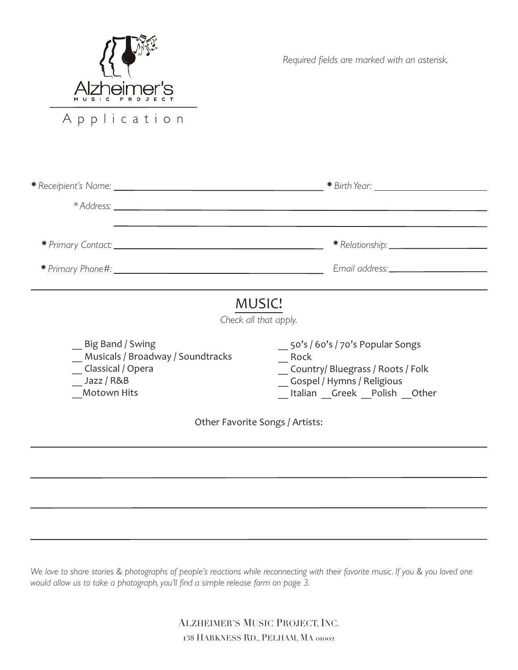

*Required fields are marked with an asterisk.*

|                                                                                                         | Email address: ____________                                                                                                              |
|---------------------------------------------------------------------------------------------------------|------------------------------------------------------------------------------------------------------------------------------------------|
|                                                                                                         | <b>MUSIC!</b><br>Check all that apply.                                                                                                   |
| Big Band / Swing<br>Musicals / Broadway / Soundtracks<br>Classical / Opera<br>Jazz / R&B<br>Motown Hits | 50's / 60's / 70's Popular Songs<br>Rock<br>Country/Bluegrass / Roots / Folk<br>Gospel / Hymns / Religious<br>Italian Greek Polish Other |

Other Favorite Songs / Artists:

We love to share stories & photographs of people's reactions while reconnecting with their favorite music. If you & you loved one *would allow us to take a photograph, you'll find a simple release form on page 3.*

> ALZHEIMER'S MUSIC PROJECT, INC. 138 HARKNESS RD., PELHAM, MA 01002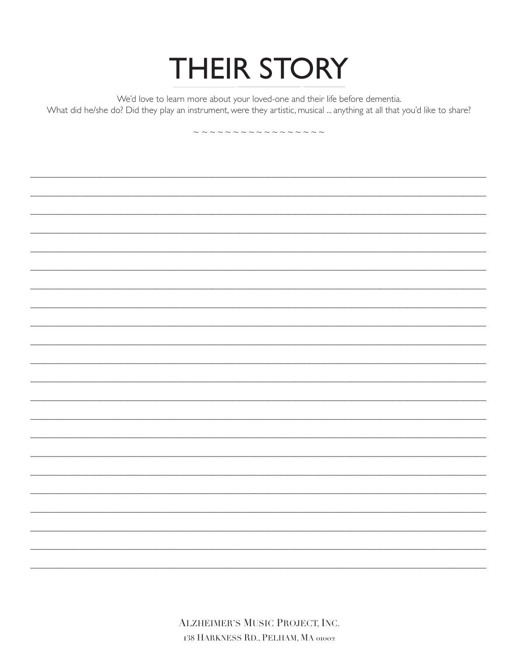## **THEIR STORY**

We'd love to learn more about your loved-one and their life before dementia.

What did he/she do? Did they play an instrument, were they artistic, musical ... anything at all that you'd like to share?

~~~~~~~~~~~~~~~~

**ALZHEIMER'S MUSIC PROJECT, INC.** 138 HARKNESS RD., PELHAM, MA 01002